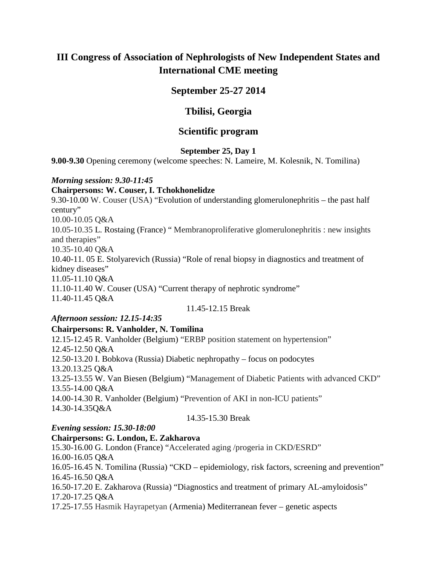# **III Congress of Association of Nephrologists of New Independent States and International CME meeting**

## **September 25-27 2014**

## **Tbilisi, Georgia**

## **Scientific program**

#### **September 25, Day 1**

**9.00-9.30** Opening ceremony (welcome speeches: N. Lameire, M. Kolesnik, N. Tomilina)

## *Morning session: 9.30-11:45*

#### **Chairpersons: W. Couser, I. Tchokhonelidze**

9.30-10.00 W. Couser (USA) "Evolution of understanding glomerulonephritis – the past half century" 10.00-10.05 Q&A 10.05-10.35 L. Rostaing (France) " Membranoproliferative glomerulonephritis : new insights and therapies" 10.35-10.40 Q&A 10.40-11. 05 E. Stolyarevich (Russia) "Role of renal biopsy in diagnostics and treatment of kidney diseases" 11.05-11.10 Q&A 11.10-11.40 W. Couser (USA) "Current therapy of nephrotic syndrome"

11.40-11.45 Q&A

11.45-12.15 Break

## *Afternoon session: 12.15-14:35*

## **Chairpersons: R. Vanholder**, **N. Tomilina**

12.15-12.45 R. Vanholder (Belgium) "ERBP position statement on hypertension" 12.45-12.50 Q&A 12.50-13.20 I. Bobkova (Russia) Diabetic nephropathy – focus on podocytes 13.20.13.25 Q&A 13.25-13.55 W. Van Biesen (Belgium) "Management of Diabetic Patients with advanced CKD" 13.55-14.00 Q&A 14.00-14.30 R. Vanholder (Belgium) "Prevention of AKI in non-ICU patients" 14.30-14.35Q&A

## 14.35-15.30 Break

## *Evening session: 15.30-18:00*

**Chairpersons: G. London, E. Zakharova** 15.30-16.00 G. London (France) "Accelerated aging /progeria in CKD/ESRD" 16.00-16.05 Q&A 16.05-16.45 N. Tomilina (Russia) "CKD – epidemiology, risk factors, screening and prevention" 16.45-16.50 Q&A 16.50-17.20 E. Zakharova (Russia) "Diagnostics and treatment of primary AL-amyloidosis" 17.20-17.25 Q&A 17.25-17.55 Hasmik Hayrapetyan (Armenia) Mediterranean fever – genetic aspects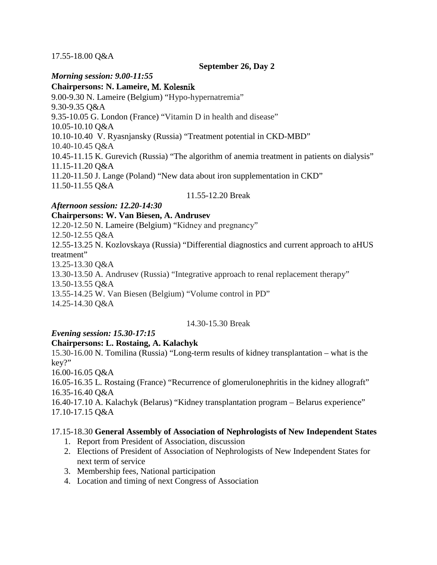#### 17.55-18.00 Q&A

#### **September 26, Day 2**

#### *Morning session: 9.00-11:55*

**Chairpersons: N. Lameire**, M. Kolesnik 9.00-9.30 N. Lameire (Belgium) "Hypo-hypernatremia" 9.30-9.35 Q&A 9.35-10.05 G. London (France) "Vitamin D in health and disease" 10.05-10.10 Q&A

10.10-10.40 V. Ryasnjansky (Russia) "Treatment potential in CKD-MBD"

10.40-10.45 Q&A

10.45-11.15 K. Gurevich (Russia) "The algorithm of anemia treatment in patients on dialysis" 11.15-11.20 Q&A

11.20-11.50 J. Lange (Poland) "New data about iron supplementation in CKD" 11.50-11.55 Q&A

#### 11.55-12.20 Break

## *Afternoon session: 12.20-14:30*

#### **Chairpersons: W. Van Biesen, A. Andrusev**

12.20-12.50 N. Lameire (Belgium) "Кidney and pregnancy" 12.50-12.55 Q&A 12.55-13.25 N. Kozlovskaya (Russia) "Differential diagnostics and current approach to aHUS treatment" 13.25-13.30 Q&A 13.30-13.50 A. Andrusev (Russia) "Integrative approach to renal replacement therapy" 13.50-13.55 Q&A 13.55-14.25 W. Van Biesen (Belgium) "Volume control in PD" 14.25-14.30 Q&A

#### 14.30-15.30 Break

## *Evening session: 15.30-17:15*

## **Chairpersons: L. Rostaing, A. Kalachyk**

15.30-16.00 N. Tomilina (Russia) "Long-term results of kidney transplantation – what is the key?"

16.00-16.05 Q&A

16.05-16.35 L. Rostaing (France) "Recurrence of glomerulonephritis in the kidney allograft" 16.35-16.40 Q&A

16.40-17.10 A. Kalachyk (Belarus) "Kidney transplantation program – Belarus experience" 17.10-17.15 Q&A

## 17.15-18.30 **General Assembly of Association of Nephrologists of New Independent States**

- 1. Report from President of Association, discussion
- 2. Elections of President of Association of Nephrologists of New Independent States for next term of service
- 3. Membership fees, National participation
- 4. Location and timing of next Congress of Association